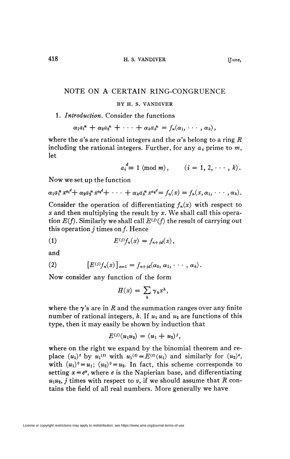# NOTE ON A CERTAIN RING-CONGRUENCE

## **BY H. S. VANDIVER**

## 1. *Introduction.* Consider the functions

$$
\alpha_1a_1^n + \alpha_2a_2^n + \cdots + \alpha_ka_k^n = f_n(\alpha_1, \cdots, \alpha_k),
$$

where the a's are rational integers and the  $\alpha$ 's belong to a ring R including the rational integers. Further, for any  $a_i$  prime to  $m$ , let

$$
a_i^d \equiv 1 \pmod{m}, \qquad (i = 1, 2, \cdots, k).
$$

Now we set up the function

$$
\alpha_1 a_1^n x^{a_1} + \alpha_2 a_2^n x^{a_2} + \cdots + \alpha_k a_k^n x^{a_k} = f_n(x) = f_n(x, \alpha_1, \cdots, \alpha_k).
$$

Consider the operation of differentiating *fn(x)* with respect to *x* and then multiplying the result by *x.* We shall call this operation  $E(f)$ . Similarly we shall call  $E^{(j)}(f)$  the result of carrying out this operation  $i$  times on  $f$ . Hence

$$
(1) \tE(i)fn(x) = fn+id(x),
$$

and

(2) 
$$
[E^{(i)}f_n(x)]_{x=1} = f_{n+id}(\alpha_0, \alpha_1, \cdots, \alpha_k).
$$

Now consider any function of the form

$$
H(x) = \sum_{h} \gamma_h x^h,
$$

where the  $\gamma$ 's are in R and the summation ranges over any finite number of rational integers, h. If  $u_1$  and  $u_2$  are functions of this type, then it may easily be shown by induction that

$$
E^{(i)}(u_1u_2)=(u_1+u_2)^i,
$$

where on the right we expand by the binomial theorem and replace  $(u_1)^t$  by  $u_1^{(t)}$  with  $u_1^{(t)} = E^{(t)}(u_1)$  and similarly for  $(u_2)^s$ , with  $(u_1)^0 = u_1$ ;  $(u_2)^0 = u_2$ . In fact, this scheme corresponds to setting  $x = e^v$ , where  $e$  is the Napierian base, and differentiating  $u_1u_2$ , *j* times with respect to *v*, if we should assume that *R* contains the field of all real numbers. More generally we have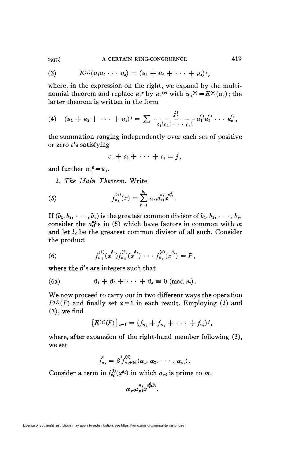#### A CERTAIN RING-CONGRUENCE 1937.]

(3) 
$$
E^{(i)}(u_1u_2\cdots u_s)=(u_1+u_2+\cdots+u_s)^i,
$$

where, in the expression on the right, we expand by the multinomial theorem and replace  $u_i^r$  by  $u_i^{(r)}$  with  $u_i^{(r)} = E^{(r)}(u_i)$ ; the latter theorem is written in the form

 $\ddot{\phantom{a}}$ 

(4) 
$$
(u_1 + u_2 + \cdots + u_s)^j = \sum \frac{j!}{c_1!c_2!\cdots c_s!} u_1^{c_1}u_2^{c_2}\cdots u_s^{c_s},
$$

the summation ranging independently over each set of positive or zero  $c$ 's satisfying

$$
c_1+c_2+\cdots+c_s=j,
$$

and further  $u_i^0 = u_i$ .

2. The Main Theorem. Write

(5) 
$$
f_{n_i}^{(i)}(x) = \sum_{r=1}^{k_i} \alpha_{ri} a_{ri}^{a_{ri}^d} x^{d_{ri}^d}.
$$

If  $(b_1, b_2, \dots, b_v)$  is the greatest common divisor of  $b_1, b_2, \dots, b_v$ , consider the  $a_{ri}^{n}$ 's in (5) which have factors in common with m and let  $l_i$  be the greatest common divisor of all such. Consider the product

(6) 
$$
f_{n_1}^{(1)}(x^{\beta_1})f_{n_2}^{(2)}(x^{\beta_2})\cdots f_{n_s}^{(s)}(x^{\beta_s})=F,
$$

where the  $\beta$ 's are integers such that

(6a) 
$$
\beta_1 + \beta_2 + \cdots + \beta_s \equiv 0 \pmod{m}.
$$

We now proceed to carry out in two different ways the operation  $E^{(i)}(F)$  and finally set  $x=1$  in each result. Employing (2) and  $(3)$ , we find

$$
[E^{(i)}(F)]_{x=1} = (f_{n_1} + f_{n_2} + \cdots + f_{n_s})^i,
$$

where, after expansion of the right-hand member following  $(3)$ , we set

$$
f_{n_i}^t = \beta^{t} f_{n_i + td}^{(i)}(\alpha_1, \alpha_2, \cdots, \alpha_{k_i}).
$$

Consider a term in  $f_{n_i}^{(i)}(x^{\beta_i})$  in which  $a_{q_i}$  is prime to m,

$$
\alpha_{gi} a_{gi}^{n_i} x_{gi}^{a_{gi}^d \beta_i}.
$$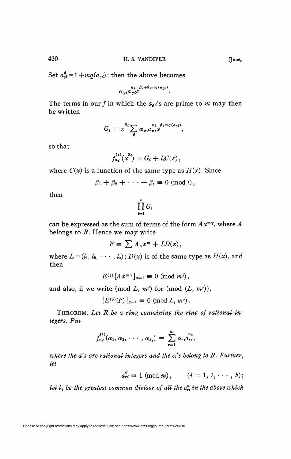Set  $a^d_{qi} = 1 + mq(a_{qi})$ ; then the above becomes

$$
\alpha_{gi} a_{gi}^{\qquad n_i \beta_i + \beta_i m_q(a_{gi})}.
$$

The terms in our f in which the  $a_{q}$ <sup>'</sup> are prime to m may then be written

$$
G_i = x^{\beta_i} \sum_g \alpha_{gi} a_{gi}^{\binom{n_i}{\beta_i m_q(a_{gi})}},
$$

so that

$$
f_{n_i}^{(i)}(x^{\beta_i}) = G_i + l_i C(x),
$$

where  $C(x)$  is a function of the same type as  $H(x)$ . Since

$$
\beta_1 + \beta_2 + \cdots + \beta_s \equiv 0 \pmod{l},
$$

then

$$
\prod_{i=1}^s G_i
$$

can be expressed as the sum of terms of the form *Axmy ,* where *A*  belongs to *R.* Hence we may write

$$
F = \sum A_{\gamma} x^{m} + LD(x),
$$

where  $L = (l_1, l_2, \dots, l_s)$ ;  $D(x)$  is of the same type as  $H(x)$ , and then

$$
E^{(i)}\left[A\,x^{m\gamma}\right]_{x=1}\equiv 0\,\left(\text{mod }m^{i}\right),
$$

and also, if we write (mod  $L, m^j$ ) for (mod  $(L, m^j)$ ),

 $[E^{(i)}(F)]_{x=1} \equiv 0 \pmod{L, m^i}.$ 

THEOREM. Let R be a ring containing the ring of rational in*tegers. Put* 

$$
f_{n_i}^{(i)}(\alpha_1, \alpha_2, \cdots, \alpha_{k_i}) = \sum_{r=1}^{k_i} \alpha_{ri} a_{ri}^{n_i},
$$

where the  $a$ 's are rational integers and the  $\alpha$ 's belong to R. Further, *let* 

$$
a_{ri}^d \equiv 1 \pmod{m}, \qquad (i = 1, 2, \cdots, k);
$$

*let*  $l_i$  *be the greatest common divisor of all the*  $a_{ri}^n$  *in the above which*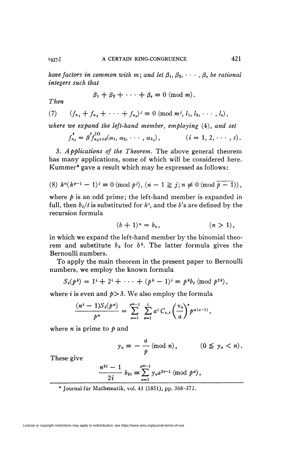*have factors in common with m*; and let  $\beta_1, \beta_2, \cdots, \beta_s$  be rational *integers such that* 

$$
\beta_1 + \beta_2 + \cdots + \beta_s \equiv 0 \pmod{m}.
$$

 $Then$ 

(7) 
$$
(f_{n_1} + f_{n_2} + \cdots + f_{n_s})^j \equiv 0 \pmod{m^j, l_1, l_2, \cdots, l_s},
$$

where we expand the left-hand member, employing (4), and set

$$
f_{n_i}^{\mathbf{i}} = \beta f_{n_i + t d}^{(i)}(\alpha_1, \alpha_2, \cdots, \alpha_{k_i}), \qquad (i = 1, 2, \cdots, s).
$$

3. *Applications of the Theorem.* The above general theorem has many applications, some of which will be considered here. Kummer\* gave a result which may be expressed as follows:

$$
(8) \ \ h^n(h^{p-1}-1)^j \equiv 0 \ (\mathrm{mod} \ p^j), \ (n-1 \geqq j; n \not\equiv 0 \ (\mathrm{mod} \ \overline{p-1}) ),
$$

where  $\dot{p}$  is an odd prime; the left-hand member is expanded in full, then  $b_t/t$  is substituted for  $h^t$ , and the  $b$ 's are defined by the recursion formula

$$
(b+1)^n = b_n, \t\t (n>1),
$$

in which we expand the left-hand member by the binomial theorem and substitute  $b_k$  for  $b^k$ . The latter formula gives the Bernoulli numbers.

To apply the main theorem in the present paper to Bernoulli numbers, we employ the known formula

$$
S_i(p^k) = 1^i + 2^i + \cdots + (p^k - 1)^i \equiv p^k b_i \pmod{p^{2k}},
$$

where *i* is even and  $p > 3$ . We also employ the formula

$$
\frac{(n^{i}-1)S_{i}(p^{\alpha})}{p^{\alpha}}=\sum_{a=1}^{p^{\alpha}-1}\sum_{s=1}^{i}a^{i}C_{s,i}\left(\frac{v_{a}}{a}\right)^{s}p^{\alpha(s-1)},
$$

where *n* is prime to *p* and

$$
y_a \equiv -\frac{a}{p} \pmod{n}, \qquad (0 \leq y_a < n).
$$

These give

$$
\frac{n^{2i}-1}{2i} b_{2i} \equiv \sum_{a=1}^{p^{\alpha-1}} y_a a^{2i-1} \pmod{p^{\alpha}},
$$

\* Journal für Mathematik, vol. 41 (1851), pp. 368-372.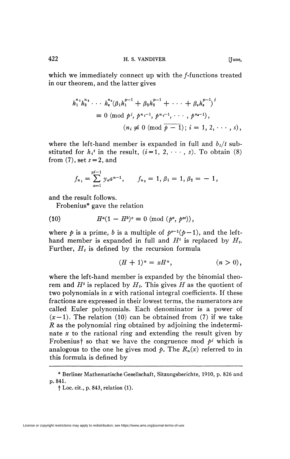which we immediately connect up with the f-functions treated in our theorem, and the latter gives

$$
h_1^{n_1}h_2^{n_2}\cdots h_s^{n_s}(\beta_1h_1^{p-1} + \beta_2h_2^{p-1} + \cdots + \beta_sh_s^{p-1})^i
$$
  
\n
$$
\equiv 0 \pmod{p^i, p^{n_1-1}, p^{n_2-1}, \cdots, p^{n_s-1}},
$$
  
\n
$$
(n_i \not\equiv 0 \pmod{\overline{p-1}}; i = 1, 2, \cdots, s),
$$

where the left-hand member is expanded in full and  $b_t/t$  substituted for  $h_i^t$  in the result,  $(i=1, 2, \dots, s)$ . To obtain (8) from  $(7)$ , set  $s = 2$ , and

$$
f_{n_1}=\sum_{a=1}^{p^{j-1}}y_a a^{n-1}, \qquad f_{n_2}=1, \beta_1=1, \beta_2=-1,
$$

and the result follows.

Frobenius\* gave the relation

(10) 
$$
H^{a}(1 - H^{b})^{c} \equiv 0 \pmod{(p^{a}, p^{ec})},
$$

where  $p$  is a prime, *b* is a multiple of  $p^{e-1}(p-1)$ , and the lefthand member is expanded in full and  $H^t$  is replaced by  $H_t$ . Further, *H<sup>t</sup>* is defined by the recursion formula

$$
(H+1)^n = xH^n, \qquad (n>0),
$$

where the left-hand member is expanded by the binomial theorem and  $H^t$  is replaced by  $H_t$ . This gives  $H$  as the quotient of two polynomials in *x* with rational integral coefficients. If these fractions are expressed in their lowest terms, the numerators are called Euler polynomials. Each denominator is a power of  $(x-1)$ . The relation (10) can be obtained from (7) if we take *R* as the polynomial ring obtained by adjoining the indeterminate *x* to the rational ring and extending the result given by Frobenius<sup>†</sup> so that we have the congruence mod  $p^j$  which is analogous to the one he gives mod  $\phi$ . The  $R_n(x)$  referred to in this formula is defined by

<sup>\*</sup> Berliner Mathematische Gesellschaft, Sitzungsberichte, 1910, p. 826 and p. 841.

f Loc. cit., p. 843, relation (1).